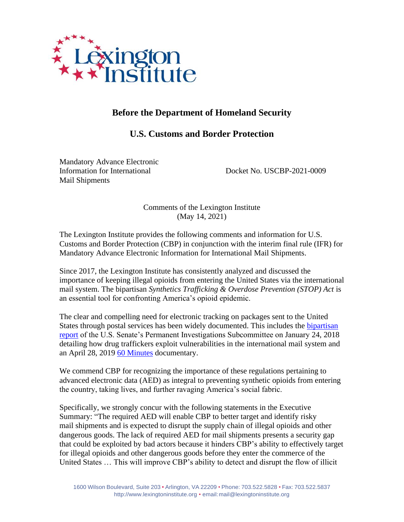

# **Before the Department of Homeland Security**

# **U.S. Customs and Border Protection**

Mandatory Advance Electronic Information for International Docket No. USCBP-2021-0009 Mail Shipments

Comments of the Lexington Institute (May 14, 2021)

The Lexington Institute provides the following comments and information for U.S. Customs and Border Protection (CBP) in conjunction with the interim final rule (IFR) for Mandatory Advance Electronic Information for International Mail Shipments.

Since 2017, the Lexington Institute has consistently analyzed and discussed the importance of keeping illegal opioids from entering the United States via the international mail system. The bipartisan *Synthetics Trafficking & Overdose Prevention (STOP) Act* is an essential tool for confronting America's opioid epidemic.

The clear and compelling need for electronic tracking on packages sent to the United States through postal services has been widely documented. This includes the [bipartisan](https://www.portman.senate.gov/sites/default/files/2019-04/Combatting%20the%20Opioid%20Crisis%20-%20Exploiting%20Vulnerabilities%20in%20International%20Mail1.pdf)  [report](https://www.portman.senate.gov/sites/default/files/2019-04/Combatting%20the%20Opioid%20Crisis%20-%20Exploiting%20Vulnerabilities%20in%20International%20Mail1.pdf) of the U.S. Senate's Permanent Investigations Subcommittee on January 24, 2018 detailing how drug traffickers exploit vulnerabilities in the international mail system and an April 28, 2019 [60 Minutes](https://www.cbsnews.com/news/deadly-fentanyl-bought-online-from-china-being-shipped-through-the-mail-60-minutes-2019-04-28/) documentary.

We commend CBP for recognizing the importance of these regulations pertaining to advanced electronic data (AED) as integral to preventing synthetic opioids from entering the country, taking lives, and further ravaging America's social fabric.

Specifically, we strongly concur with the following statements in the Executive Summary: "The required AED will enable CBP to better target and identify risky mail shipments and is expected to disrupt the supply chain of illegal opioids and other dangerous goods. The lack of required AED for mail shipments presents a security gap that could be exploited by bad actors because it hinders CBP's ability to effectively target for illegal opioids and other dangerous goods before they enter the commerce of the United States … This will improve CBP's ability to detect and disrupt the flow of illicit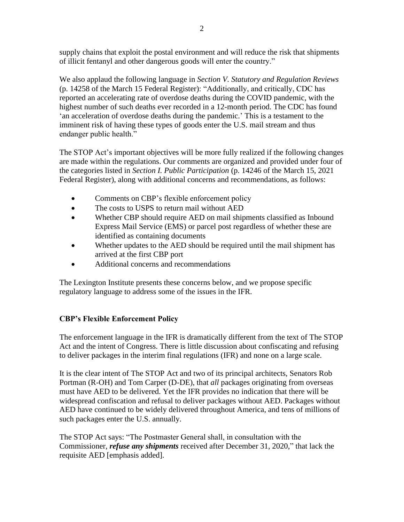supply chains that exploit the postal environment and will reduce the risk that shipments of illicit fentanyl and other dangerous goods will enter the country."

We also applaud the following language in *Section V. Statutory and Regulation Reviews* (p. 14258 of the March 15 Federal Register): "Additionally, and critically, CDC has reported an accelerating rate of overdose deaths during the COVID pandemic, with the highest number of such deaths ever recorded in a 12-month period. The CDC has found 'an acceleration of overdose deaths during the pandemic.' This is a testament to the imminent risk of having these types of goods enter the U.S. mail stream and thus endanger public health."

The STOP Act's important objectives will be more fully realized if the following changes are made within the regulations. Our comments are organized and provided under four of the categories listed in *Section I. Public Participation* (p. 14246 of the March 15, 2021 Federal Register), along with additional concerns and recommendations, as follows:

- Comments on CBP's flexible enforcement policy
- The costs to USPS to return mail without AED
- Whether CBP should require AED on mail shipments classified as Inbound Express Mail Service (EMS) or parcel post regardless of whether these are identified as containing documents
- Whether updates to the AED should be required until the mail shipment has arrived at the first CBP port
- Additional concerns and recommendations

The Lexington Institute presents these concerns below, and we propose specific regulatory language to address some of the issues in the IFR.

# **CBP's Flexible Enforcement Policy**

The enforcement language in the IFR is dramatically different from the text of The STOP Act and the intent of Congress. There is little discussion about confiscating and refusing to deliver packages in the interim final regulations (IFR) and none on a large scale.

It is the clear intent of The STOP Act and two of its principal architects, Senators Rob Portman (R-OH) and Tom Carper (D-DE), that *all* packages originating from overseas must have AED to be delivered. Yet the IFR provides no indication that there will be widespread confiscation and refusal to deliver packages without AED. Packages without AED have continued to be widely delivered throughout America, and tens of millions of such packages enter the U.S. annually.

The STOP Act says: "The Postmaster General shall, in consultation with the Commissioner, *refuse any shipments* received after December 31, 2020," that lack the requisite AED [emphasis added].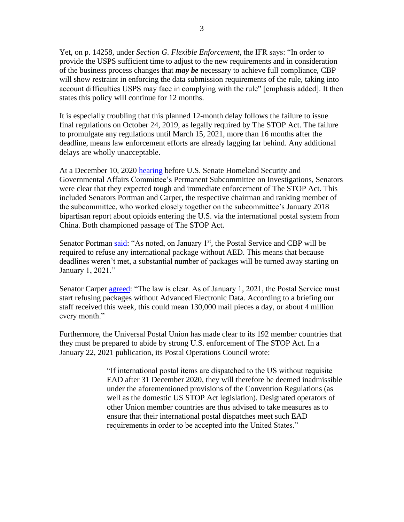Yet, on p. 14258, under *Section G. Flexible Enforcement*, the IFR says: "In order to provide the USPS sufficient time to adjust to the new requirements and in consideration of the business process changes that *may be* necessary to achieve full compliance, CBP will show restraint in enforcing the data submission requirements of the rule, taking into account difficulties USPS may face in complying with the rule" [emphasis added]. It then states this policy will continue for 12 months.

It is especially troubling that this planned 12-month delay follows the failure to issue final regulations on October 24, 2019, as legally required by The STOP Act. The failure to promulgate any regulations until March 15, 2021, more than 16 months after the deadline, means law enforcement efforts are already lagging far behind. Any additional delays are wholly unacceptable.

At a December 10, 2020 [hearing](https://www.hsgac.senate.gov/subcommittees/investigations/hearings/combatting-the-opioid-crisis-oversight-of-the-implementation-of-the-stop-act) before U.S. Senate Homeland Security and Governmental Affairs Committee's Permanent Subcommittee on Investigations, Senators were clear that they expected tough and immediate enforcement of The STOP Act. This included Senators Portman and Carper, the respective chairman and ranking member of the subcommittee, who worked closely together on the subcommittee's January 2018 bipartisan report about opioids entering the U.S. via the international postal system from China. Both championed passage of The STOP Act.

Senator Portman [said:](https://www.portman.senate.gov/newsroom/press-releases/permanent-subcommittee-investigations-hearing-portman-highlights-need-usps) "As noted, on January 1<sup>st</sup>, the Postal Service and CBP will be required to refuse any international package without AED. This means that because deadlines weren't met, a substantial number of packages will be turned away starting on January 1, 2021."

Senator Carper [agreed:](https://www.hsgac.senate.gov/imo/media/doc/2020-12-10%20Carper%20Opening%20Statement.pdf) "The law is clear. As of January 1, 2021, the Postal Service must start refusing packages without Advanced Electronic Data. According to a briefing our staff received this week, this could mean 130,000 mail pieces a day, or about 4 million every month."

Furthermore, the Universal Postal Union has made clear to its 192 member countries that they must be prepared to abide by strong U.S. enforcement of The STOP Act. In a January 22, 2021 publication, its Postal Operations Council wrote:

> "If international postal items are dispatched to the US without requisite EAD after 31 December 2020, they will therefore be deemed inadmissible under the aforementioned provisions of the Convention Regulations (as well as the domestic US STOP Act legislation). Designated operators of other Union member countries are thus advised to take measures as to ensure that their international postal dispatches meet such EAD requirements in order to be accepted into the United States."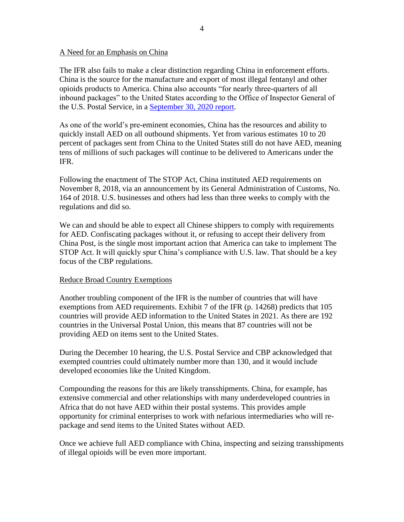#### A Need for an Emphasis on China

The IFR also fails to make a clear distinction regarding China in enforcement efforts. China is the source for the manufacture and export of most illegal fentanyl and other opioids products to America. China also accounts "for nearly three-quarters of all inbound packages" to the United States according to the Office of Inspector General of the U.S. Postal Service, in a [September 30, 2020 report.](https://www.uspsoig.gov/document/implementing-advanced-electronic-data-challenges-and-opportunities)

As one of the world's pre-eminent economies, China has the resources and ability to quickly install AED on all outbound shipments. Yet from various estimates 10 to 20 percent of packages sent from China to the United States still do not have AED, meaning tens of millions of such packages will continue to be delivered to Americans under the IFR.

Following the enactment of The STOP Act, China instituted AED requirements on November 8, 2018, via an announcement by its General Administration of Customs, No. 164 of 2018. U.S. businesses and others had less than three weeks to comply with the regulations and did so.

We can and should be able to expect all Chinese shippers to comply with requirements for AED. Confiscating packages without it, or refusing to accept their delivery from China Post, is the single most important action that America can take to implement The STOP Act. It will quickly spur China's compliance with U.S. law. That should be a key focus of the CBP regulations.

#### Reduce Broad Country Exemptions

Another troubling component of the IFR is the number of countries that will have exemptions from AED requirements. Exhibit 7 of the IFR (p. 14268) predicts that 105 countries will provide AED information to the United States in 2021. As there are 192 countries in the Universal Postal Union, this means that 87 countries will not be providing AED on items sent to the United States.

During the December 10 hearing, the U.S. Postal Service and CBP acknowledged that exempted countries could ultimately number more than 130, and it would include developed economies like the United Kingdom.

Compounding the reasons for this are likely transshipments. China, for example, has extensive commercial and other relationships with many underdeveloped countries in Africa that do not have AED within their postal systems. This provides ample opportunity for criminal enterprises to work with nefarious intermediaries who will repackage and send items to the United States without AED.

Once we achieve full AED compliance with China, inspecting and seizing transshipments of illegal opioids will be even more important.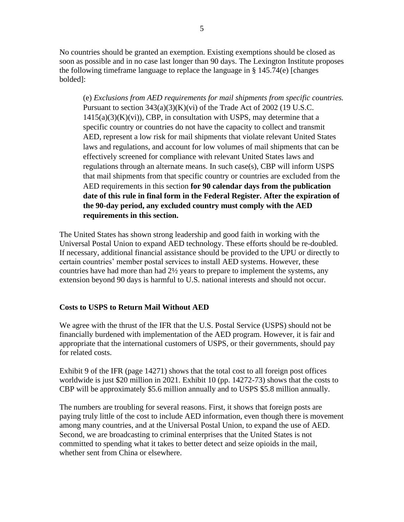No countries should be granted an exemption. Existing exemptions should be closed as soon as possible and in no case last longer than 90 days. The Lexington Institute proposes the following timeframe language to replace the language in § 145.74(e) [changes bolded]:

(e) *Exclusions from AED requirements for mail shipments from specific countries.* Pursuant to section  $343(a)(3)(K)(vi)$  of the Trade Act of 2002 (19 U.S.C.  $1415(a)(3)(K)(vi)$ , CBP, in consultation with USPS, may determine that a specific country or countries do not have the capacity to collect and transmit AED, represent a low risk for mail shipments that violate relevant United States laws and regulations, and account for low volumes of mail shipments that can be effectively screened for compliance with relevant United States laws and regulations through an alternate means. In such case(s), CBP will inform USPS that mail shipments from that specific country or countries are excluded from the AED requirements in this section **for 90 calendar days from the publication date of this rule in final form in the Federal Register. After the expiration of the 90-day period, any excluded country must comply with the AED requirements in this section.** 

The United States has shown strong leadership and good faith in working with the Universal Postal Union to expand AED technology. These efforts should be re-doubled. If necessary, additional financial assistance should be provided to the UPU or directly to certain countries' member postal services to install AED systems. However, these countries have had more than had  $2\frac{1}{2}$  years to prepare to implement the systems, any extension beyond 90 days is harmful to U.S. national interests and should not occur.

### **Costs to USPS to Return Mail Without AED**

We agree with the thrust of the IFR that the U.S. Postal Service (USPS) should not be financially burdened with implementation of the AED program. However, it is fair and appropriate that the international customers of USPS, or their governments, should pay for related costs.

Exhibit 9 of the IFR (page 14271) shows that the total cost to all foreign post offices worldwide is just \$20 million in 2021. Exhibit 10 (pp. 14272-73) shows that the costs to CBP will be approximately \$5.6 million annually and to USPS \$5.8 million annually.

The numbers are troubling for several reasons. First, it shows that foreign posts are paying truly little of the cost to include AED information, even though there is movement among many countries, and at the Universal Postal Union, to expand the use of AED. Second, we are broadcasting to criminal enterprises that the United States is not committed to spending what it takes to better detect and seize opioids in the mail, whether sent from China or elsewhere.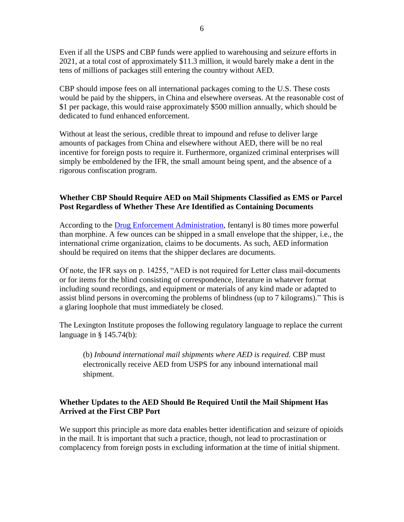Even if all the USPS and CBP funds were applied to warehousing and seizure efforts in 2021, at a total cost of approximately \$11.3 million, it would barely make a dent in the tens of millions of packages still entering the country without AED.

CBP should impose fees on all international packages coming to the U.S. These costs would be paid by the shippers, in China and elsewhere overseas. At the reasonable cost of \$1 per package, this would raise approximately \$500 million annually, which should be dedicated to fund enhanced enforcement.

Without at least the serious, credible threat to impound and refuse to deliver large amounts of packages from China and elsewhere without AED, there will be no real incentive for foreign posts to require it. Furthermore, organized criminal enterprises will simply be emboldened by the IFR, the small amount being spent, and the absence of a rigorous confiscation program.

## **Whether CBP Should Require AED on Mail Shipments Classified as EMS or Parcel Post Regardless of Whether These Are Identified as Containing Documents**

According to the [Drug Enforcement Administration,](https://www.dea.gov/factsheets/fentanyl) fentanyl is 80 times more powerful than morphine. A few ounces can be shipped in a small envelope that the shipper, i.e., the international crime organization, claims to be documents. As such, AED information should be required on items that the shipper declares are documents.

Of note, the IFR says on p. 14255, "AED is not required for Letter class mail-documents or for items for the blind consisting of correspondence, literature in whatever format including sound recordings, and equipment or materials of any kind made or adapted to assist blind persons in overcoming the problems of blindness (up to 7 kilograms)." This is a glaring loophole that must immediately be closed.

The Lexington Institute proposes the following regulatory language to replace the current language in § 145.74(b):

(b) *Inbound international mail shipments where AED is required.* CBP must electronically receive AED from USPS for any inbound international mail shipment.

## **Whether Updates to the AED Should Be Required Until the Mail Shipment Has Arrived at the First CBP Port**

We support this principle as more data enables better identification and seizure of opioids in the mail. It is important that such a practice, though, not lead to procrastination or complacency from foreign posts in excluding information at the time of initial shipment.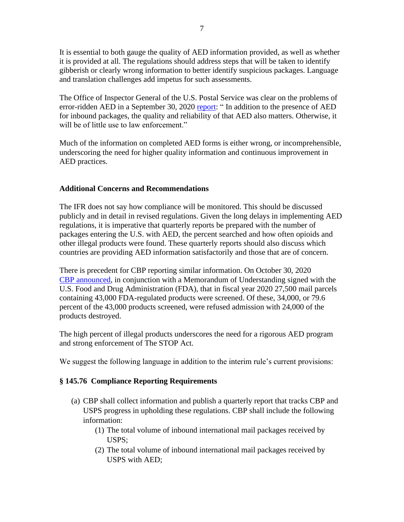It is essential to both gauge the quality of AED information provided, as well as whether it is provided at all. The regulations should address steps that will be taken to identify gibberish or clearly wrong information to better identify suspicious packages. Language and translation challenges add impetus for such assessments.

The Office of Inspector General of the U.S. Postal Service was clear on the problems of error-ridden AED in a September 30, 2020 [report:](https://www.uspsoig.gov/document/implementing-advanced-electronic-data-challenges-and-opportunities) " In addition to the presence of AED for inbound packages, the quality and reliability of that AED also matters. Otherwise, it will be of little use to law enforcement."

Much of the information on completed AED forms is either wrong, or incomprehensible, underscoring the need for higher quality information and continuous improvement in AED practices.

#### **Additional Concerns and Recommendations**

The IFR does not say how compliance will be monitored. This should be discussed publicly and in detail in revised regulations. Given the long delays in implementing AED regulations, it is imperative that quarterly reports be prepared with the number of packages entering the U.S. with AED, the percent searched and how often opioids and other illegal products were found. These quarterly reports should also discuss which countries are providing AED information satisfactorily and those that are of concern.

There is precedent for CBP reporting similar information. On October 30, 2020 [CBP announced,](https://www.cbp.gov/newsroom/national-media-release/fda-homeland-security-agencies-take-additional-action-prevent-import#:~:text=In%20fiscal%20year%20(FY)%202019,products%20at%20its%20IMF%20facilities.&text=Of%20these%20products%2C%20more%20than,products%20that%20have%20been%20destroyed) in conjunction with a Memorandum of Understanding signed with the U.S. Food and Drug Administration (FDA), that in fiscal year 2020 27,500 mail parcels containing 43,000 FDA-regulated products were screened. Of these, 34,000, or 79.6 percent of the 43,000 products screened, were refused admission with 24,000 of the products destroyed.

The high percent of illegal products underscores the need for a rigorous AED program and strong enforcement of The STOP Act.

We suggest the following language in addition to the interim rule's current provisions:

### **§ 145.76 Compliance Reporting Requirements**

- (a) CBP shall collect information and publish a quarterly report that tracks CBP and USPS progress in upholding these regulations. CBP shall include the following information:
	- (1) The total volume of inbound international mail packages received by USPS;
	- (2) The total volume of inbound international mail packages received by USPS with AED;